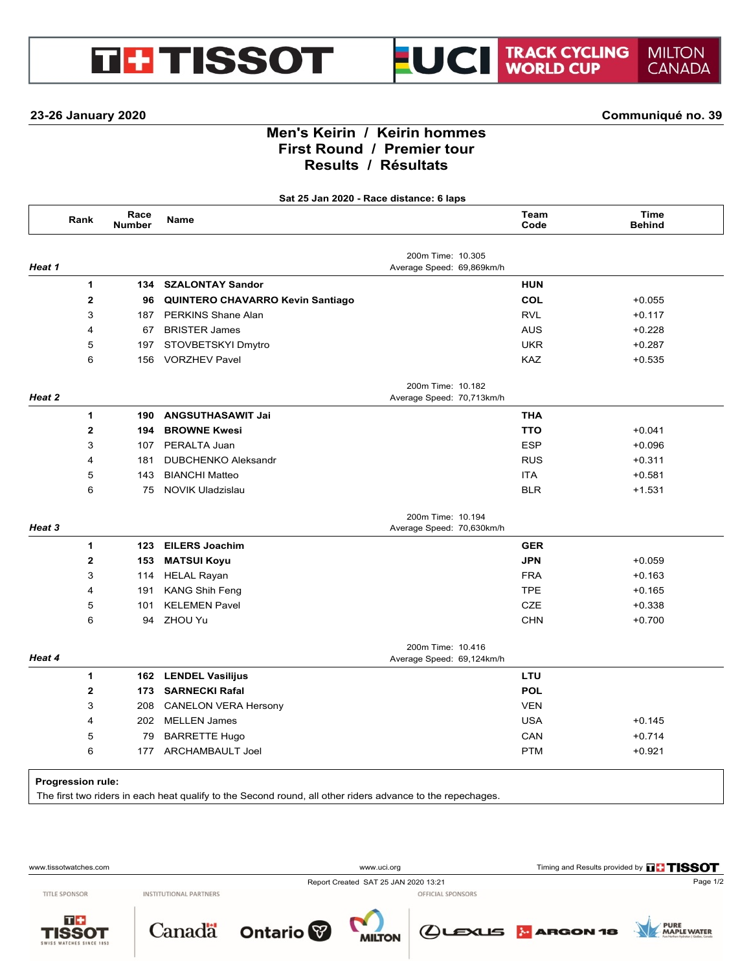## **23-26 January 2020 Communiqué no. 39**

**GBTISSOT** 

# **Men's Keirin / Keirin hommes First Round / Premier tour Results / Résultats**

UCI

**Sat 25 Jan 2020 - Race distance: 6 laps**

|        | Rank                     | Race<br><b>Number</b> | Name                                    |                                                | Team<br>Code | Time<br><b>Behind</b> |
|--------|--------------------------|-----------------------|-----------------------------------------|------------------------------------------------|--------------|-----------------------|
|        |                          |                       |                                         | 200m Time: 10.305                              |              |                       |
| Heat 1 |                          |                       |                                         | Average Speed: 69,869km/h                      |              |                       |
|        | $\mathbf{1}$             | 134                   | <b>SZALONTAY Sandor</b>                 |                                                | <b>HUN</b>   |                       |
|        | $\mathbf{2}$             | 96                    | <b>QUINTERO CHAVARRO Kevin Santiago</b> |                                                | COL          | $+0.055$              |
|        | 3                        | 187                   | PERKINS Shane Alan                      |                                                | <b>RVL</b>   | $+0.117$              |
|        | 4                        | 67                    | <b>BRISTER James</b>                    |                                                | <b>AUS</b>   | $+0.228$              |
|        | 5                        | 197                   | STOVBETSKYI Dmytro                      |                                                | <b>UKR</b>   | $+0.287$              |
|        | 6                        |                       | 156 VORZHEV Pavel                       |                                                | <b>KAZ</b>   | $+0.535$              |
| Heat 2 |                          |                       |                                         | 200m Time: 10.182<br>Average Speed: 70,713km/h |              |                       |
|        | $\mathbf{1}$             | 190                   | <b>ANGSUTHASAWIT Jai</b>                |                                                | <b>THA</b>   |                       |
|        | $\mathbf{2}$             | 194                   | <b>BROWNE Kwesi</b>                     |                                                | <b>TTO</b>   | $+0.041$              |
|        | 3                        | 107                   | PERALTA Juan                            |                                                | <b>ESP</b>   | $+0.096$              |
|        | 4                        | 181                   | <b>DUBCHENKO Aleksandr</b>              |                                                | <b>RUS</b>   | $+0.311$              |
|        | 5                        | 143                   | <b>BIANCHI Matteo</b>                   |                                                | <b>ITA</b>   | $+0.581$              |
|        | 6                        | 75                    | <b>NOVIK Uladzislau</b>                 |                                                | <b>BLR</b>   | $+1.531$              |
| Heat 3 |                          |                       |                                         | 200m Time: 10.194<br>Average Speed: 70,630km/h |              |                       |
|        | $\mathbf{1}$             | 123                   | <b>EILERS Joachim</b>                   |                                                | <b>GER</b>   |                       |
|        | $\mathbf{2}$             | 153                   | <b>MATSUI Koyu</b>                      |                                                | <b>JPN</b>   | $+0.059$              |
|        | 3                        |                       | 114 HELAL Rayan                         |                                                | <b>FRA</b>   | $+0.163$              |
|        | 4                        | 191                   | <b>KANG Shih Feng</b>                   |                                                | <b>TPE</b>   | $+0.165$              |
|        | 5                        | 101                   | <b>KELEMEN Pavel</b>                    |                                                | <b>CZE</b>   | $+0.338$              |
|        | 6                        |                       | 94 ZHOU Yu                              |                                                | <b>CHN</b>   | $+0.700$              |
| Heat 4 |                          |                       |                                         | 200m Time: 10.416<br>Average Speed: 69,124km/h |              |                       |
|        | 1                        |                       | 162 LENDEL Vasilijus                    |                                                | <b>LTU</b>   |                       |
|        | $\mathbf{2}$             |                       | 173 SARNECKI Rafal                      |                                                | <b>POL</b>   |                       |
|        | 3                        | 208                   | <b>CANELON VERA Hersony</b>             |                                                | <b>VEN</b>   |                       |
|        | 4                        |                       | 202 MELLEN James                        |                                                | <b>USA</b>   | $+0.145$              |
|        | 5                        | 79                    | <b>BARRETTE Hugo</b>                    |                                                | CAN          | $+0.714$              |
|        | 6                        |                       | 177 ARCHAMBAULT Joel                    |                                                | <b>PTM</b>   | $+0.921$              |
|        | <b>Progression rule:</b> |                       |                                         |                                                |              |                       |

The first two riders in each heat qualify to the Second round, all other riders advance to the repechages.

www.tissotwatches.com www.tissotwatches.com www.tissotwatches.com www.uci.org www.uci.org Timing and Results provided by **TISSOT** Report Created SAT 25 JAN 2020 13:21 Page 1/2 **TITLE SPONSOR INSTITUTIONAL PARTNERS** OFFICIAL SPONSORS  $T+$ **PURE<br>MAPLE WATER** Canada Ontario  $Q$ ட்டைக் **MARGON 18 ISSOT MILTON**